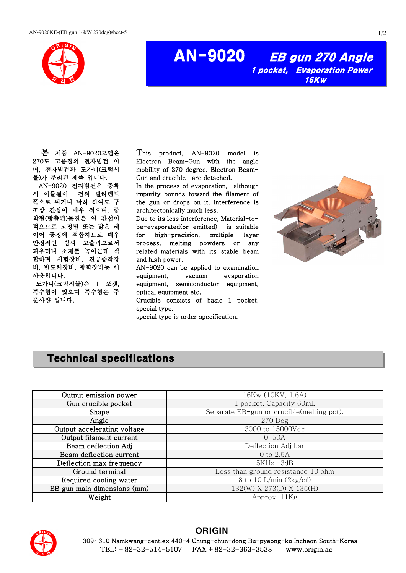

AN-9020 EB gun 270 Angle 1 pocket, Evaporation Power 16Kw

본 제품 AN-9020모델은 270도 고품질의 전자빔건 이 며, 전자빔건과 도가니(크럭시 블)가 분리된 제품 입니다. AN-9020 전자빔건은 증착 시 이물질이 건의 필라멘트 쪽으로 튀거나 낙하 하여도 구 조상 간섭이 매우 적으며, 증 착될(방출된)물질은 열 간섭이 적으므로 고정밀 또는 많은 레 이어 공정에 적합하므로 매우 안정적인 빔과 고출력으로서 파우더나 소재를 녹이는데 적 합하며 시험장비, 진공증착장 비, 반도체장비, 광학장비등 에 사용합니다. 도가니(크럭시블)은 1 포켓,

특수형이 있으며 특수형은 주 문사양 입니다.

This product, AN-9020 model is Electron Beam-Gun with the angle mobility of 270 degree. Electron Beam-Gun and crucible are detached.

In the process of evaporation, although impurity bounds toward the filament of the gun or drops on it, Interference is architectonically much less.

Due to its less interference, Material-tobe-evaporated(or emitted) is suitable for high-precision, multiple layer process, melting powders or any related-materials with its stable beam and high power.

AN-9020 can be applied to examination equipment, vacuum evaporation equipment, semiconductor equipment, optical equipment etc.

Crucible consists of basic 1 pocket, special type.

special type is order specification.



## Technical specifications

| Output emission power       | 16Kw (10KV, 1.6A)                         |
|-----------------------------|-------------------------------------------|
| Gun crucible pocket         | 1 pocket, Capacity 60mL                   |
| Shape                       | Separate EB-gun or crucible(melting pot). |
| Angle                       | $270$ Deg                                 |
| Output accelerating voltage | 3000 to 15000Vdc                          |
| Output filament current     | $0 - 50A$                                 |
| Beam deflection Adj         | Deflection Adj bar                        |
| Beam deflection current     | 0 to 2.5A                                 |
| Deflection max frequency    | $5KHz - 3dB$                              |
| Ground terminal             | Less than ground resistance 10 ohm        |
| Required cooling water      | 8 to 10 L/min $(2\text{kg/cm}^2)$         |
| EB gun main dimensions (mm) | 132(W) X 273(D) X 135(H)                  |
| Weight                      | Approx. 11Kg                              |



## **ORIGIN**

 309~310 Namkwang-centlex 440-4 Chung-chun-dong Bu-pyeong-ku Incheon South-Korea TEL: +82-32-514-5107 FAX +82-32-363-3538 www.origin.ac